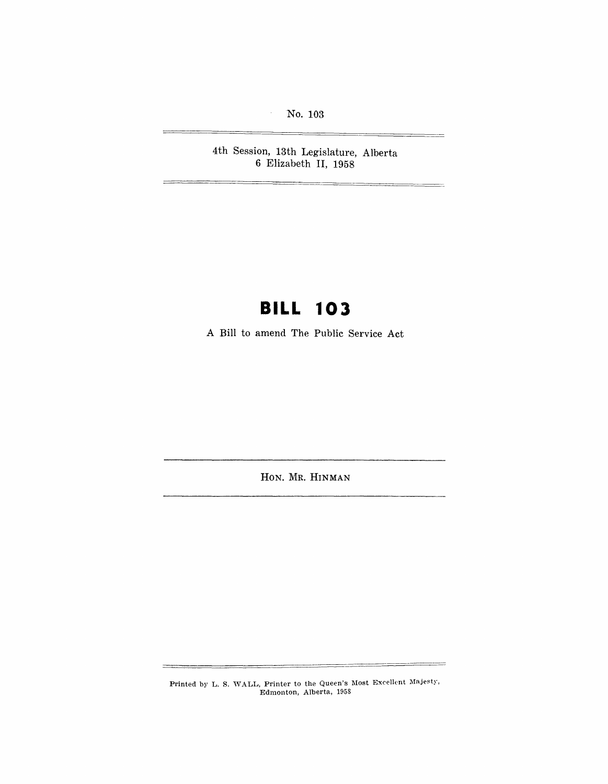No. 103

 $\lambda$ 

4th Session, 13th Legislature, Alberta 6 Elizabeth II, 1958

## **BILL 103**

A Bill to amend The Public Service Act

HON. MR. HINMAN

Printed by L. S. WALL, Printer to the Queen's Most Excellent Majesty, Edmonton, Alberta, 1958

 $\equiv$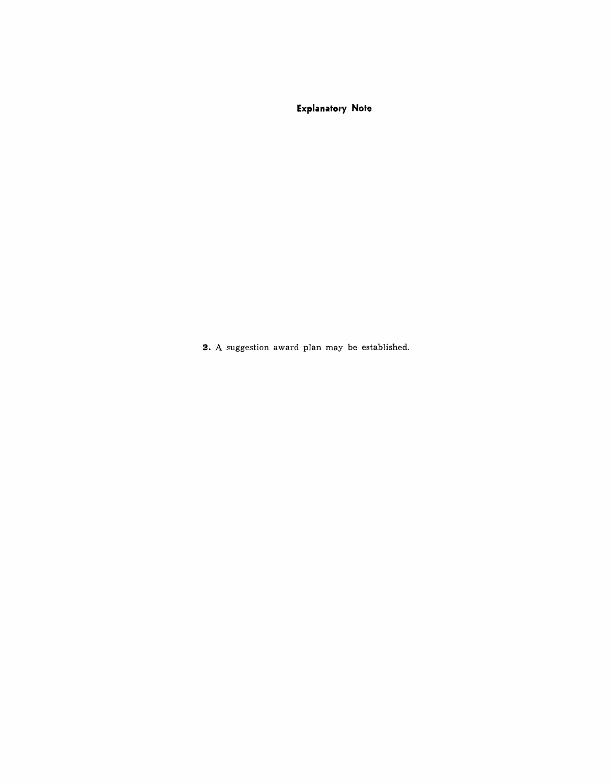**Explanatory Note** 

**2.** A suggestion award plan may be established.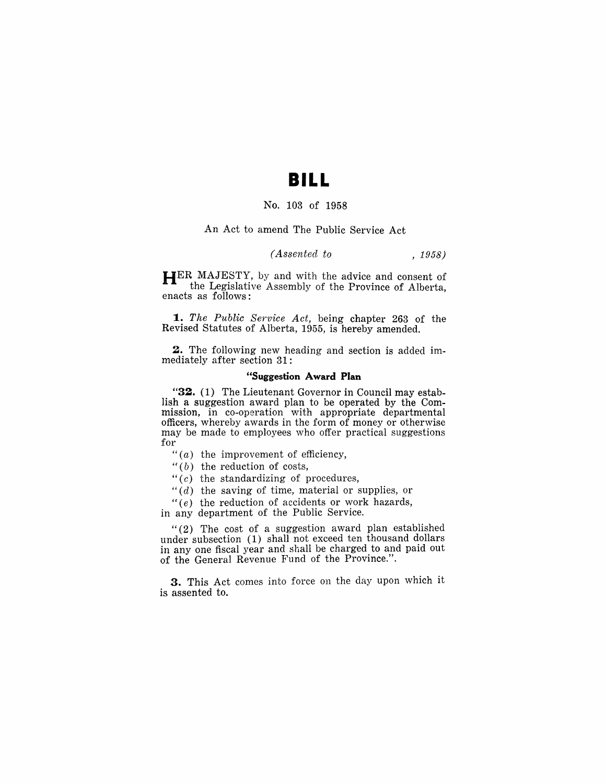## **BILL**

### No. 103 of 1958

#### An Act to amend The Public Service Act

## *(Assented to* , 1958)

**HER** MAJESTY, by and with the advice and consent of the Legislative Assembly of the Province of Alberta, enacts as follows:

**1.** The Public Service Act, being chapter 263 of the Revised Statutes of Alberta, 1955, is hereby amended.

**2.** The following new heading and section is added immediately after section 31:

### **"Suggestion Award Plan**

**"32.** (1) The Lieutenant Governor in Council may establish a suggestion award plan to be operated by the Commission, in co-operation with appropriate departmental officers, whereby awards in the form of money or otherwise may be made to employees who offer practical suggestions for

- " $(a)$  the improvement of efficiency,
- " $(b)$  the reduction of costs,
- " $(c)$  the standardizing of procedures,
- *"(d)* the saving of time, material or supplies, or

 $f(e)$  the reduction of accidents or work hazards,

in any department of the Public Service.

"(2) The cost of a suggestion award plan established under subsection (1) shall not exceed ten thousand dollars in anyone fiscal year and shall be charged to and paid out of the General Revenue Fund of the Province.".

**3.** This Act comes into force on the day upon which it is assented to.